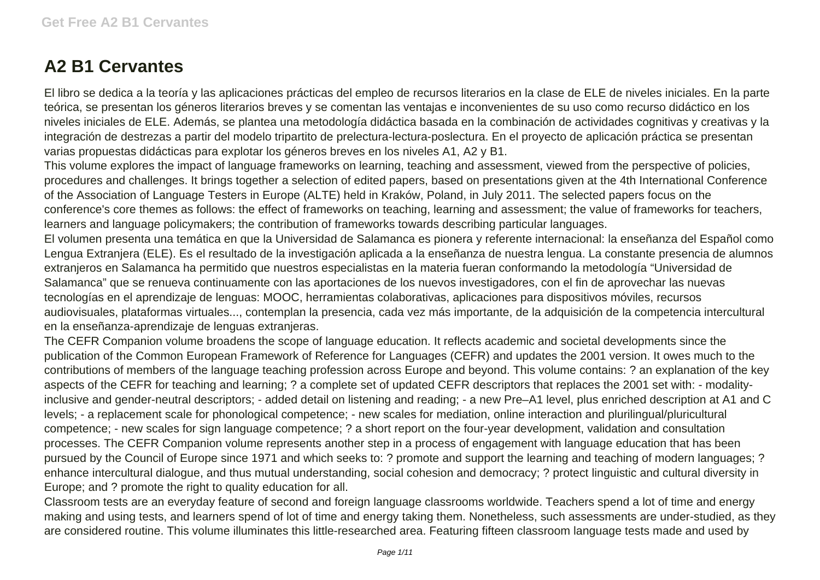## **A2 B1 Cervantes**

El libro se dedica a la teoría y las aplicaciones prácticas del empleo de recursos literarios en la clase de ELE de niveles iniciales. En la parte teórica, se presentan los géneros literarios breves y se comentan las ventajas e inconvenientes de su uso como recurso didáctico en los niveles iniciales de ELE. Además, se plantea una metodología didáctica basada en la combinación de actividades cognitivas y creativas y la integración de destrezas a partir del modelo tripartito de prelectura-lectura-poslectura. En el proyecto de aplicación práctica se presentan varias propuestas didácticas para explotar los géneros breves en los niveles A1, A2 y B1.

This volume explores the impact of language frameworks on learning, teaching and assessment, viewed from the perspective of policies, procedures and challenges. It brings together a selection of edited papers, based on presentations given at the 4th International Conference of the Association of Language Testers in Europe (ALTE) held in Kraków, Poland, in July 2011. The selected papers focus on the conference's core themes as follows: the effect of frameworks on teaching, learning and assessment; the value of frameworks for teachers, learners and language policymakers; the contribution of frameworks towards describing particular languages.

El volumen presenta una temática en que la Universidad de Salamanca es pionera y referente internacional: la enseñanza del Español como Lengua Extranjera (ELE). Es el resultado de la investigación aplicada a la enseñanza de nuestra lengua. La constante presencia de alumnos extranjeros en Salamanca ha permitido que nuestros especialistas en la materia fueran conformando la metodología "Universidad de Salamanca" que se renueva continuamente con las aportaciones de los nuevos investigadores, con el fin de aprovechar las nuevas tecnologías en el aprendizaje de lenguas: MOOC, herramientas colaborativas, aplicaciones para dispositivos móviles, recursos audiovisuales, plataformas virtuales..., contemplan la presencia, cada vez más importante, de la adquisición de la competencia intercultural en la enseñanza-aprendizaje de lenguas extranjeras.

The CEFR Companion volume broadens the scope of language education. It reflects academic and societal developments since the publication of the Common European Framework of Reference for Languages (CEFR) and updates the 2001 version. It owes much to the contributions of members of the language teaching profession across Europe and beyond. This volume contains: ? an explanation of the key aspects of the CEFR for teaching and learning; ? a complete set of updated CEFR descriptors that replaces the 2001 set with: - modalityinclusive and gender-neutral descriptors; - added detail on listening and reading; - a new Pre–A1 level, plus enriched description at A1 and C levels; - a replacement scale for phonological competence; - new scales for mediation, online interaction and plurilingual/pluricultural competence; - new scales for sign language competence; ? a short report on the four-year development, validation and consultation processes. The CEFR Companion volume represents another step in a process of engagement with language education that has been pursued by the Council of Europe since 1971 and which seeks to: ? promote and support the learning and teaching of modern languages; ? enhance intercultural dialogue, and thus mutual understanding, social cohesion and democracy; ? protect linguistic and cultural diversity in Europe; and ? promote the right to quality education for all.

Classroom tests are an everyday feature of second and foreign language classrooms worldwide. Teachers spend a lot of time and energy making and using tests, and learners spend of lot of time and energy taking them. Nonetheless, such assessments are under-studied, as they are considered routine. This volume illuminates this little-researched area. Featuring fifteen classroom language tests made and used by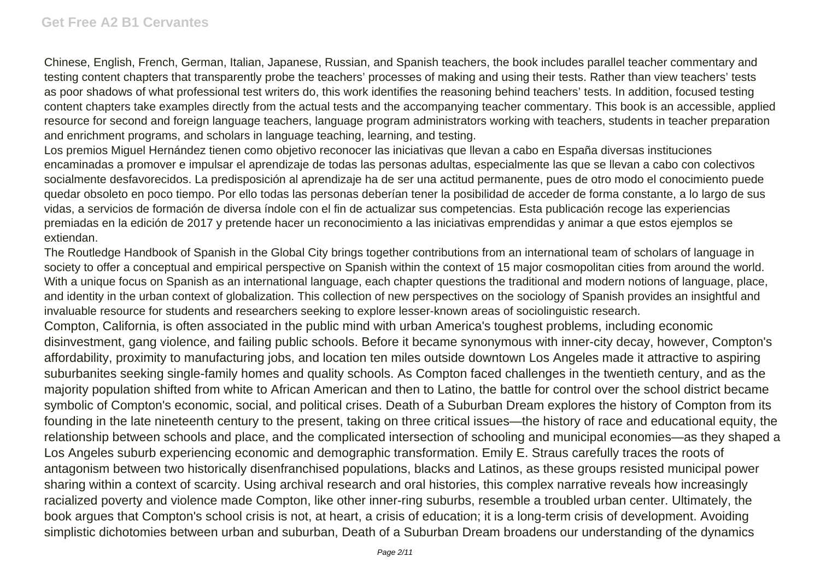Chinese, English, French, German, Italian, Japanese, Russian, and Spanish teachers, the book includes parallel teacher commentary and testing content chapters that transparently probe the teachers' processes of making and using their tests. Rather than view teachers' tests as poor shadows of what professional test writers do, this work identifies the reasoning behind teachers' tests. In addition, focused testing content chapters take examples directly from the actual tests and the accompanying teacher commentary. This book is an accessible, applied resource for second and foreign language teachers, language program administrators working with teachers, students in teacher preparation and enrichment programs, and scholars in language teaching, learning, and testing.

Los premios Miguel Hernández tienen como objetivo reconocer las iniciativas que llevan a cabo en España diversas instituciones encaminadas a promover e impulsar el aprendizaje de todas las personas adultas, especialmente las que se llevan a cabo con colectivos socialmente desfavorecidos. La predisposición al aprendizaje ha de ser una actitud permanente, pues de otro modo el conocimiento puede quedar obsoleto en poco tiempo. Por ello todas las personas deberían tener la posibilidad de acceder de forma constante, a lo largo de sus vidas, a servicios de formación de diversa índole con el fin de actualizar sus competencias. Esta publicación recoge las experiencias premiadas en la edición de 2017 y pretende hacer un reconocimiento a las iniciativas emprendidas y animar a que estos ejemplos se extiendan.

The Routledge Handbook of Spanish in the Global City brings together contributions from an international team of scholars of language in society to offer a conceptual and empirical perspective on Spanish within the context of 15 major cosmopolitan cities from around the world. With a unique focus on Spanish as an international language, each chapter questions the traditional and modern notions of language, place, and identity in the urban context of globalization. This collection of new perspectives on the sociology of Spanish provides an insightful and invaluable resource for students and researchers seeking to explore lesser-known areas of sociolinguistic research.

Compton, California, is often associated in the public mind with urban America's toughest problems, including economic disinvestment, gang violence, and failing public schools. Before it became synonymous with inner-city decay, however, Compton's affordability, proximity to manufacturing jobs, and location ten miles outside downtown Los Angeles made it attractive to aspiring suburbanites seeking single-family homes and quality schools. As Compton faced challenges in the twentieth century, and as the majority population shifted from white to African American and then to Latino, the battle for control over the school district became symbolic of Compton's economic, social, and political crises. Death of a Suburban Dream explores the history of Compton from its founding in the late nineteenth century to the present, taking on three critical issues—the history of race and educational equity, the relationship between schools and place, and the complicated intersection of schooling and municipal economies—as they shaped a Los Angeles suburb experiencing economic and demographic transformation. Emily E. Straus carefully traces the roots of antagonism between two historically disenfranchised populations, blacks and Latinos, as these groups resisted municipal power sharing within a context of scarcity. Using archival research and oral histories, this complex narrative reveals how increasingly racialized poverty and violence made Compton, like other inner-ring suburbs, resemble a troubled urban center. Ultimately, the book argues that Compton's school crisis is not, at heart, a crisis of education; it is a long-term crisis of development. Avoiding simplistic dichotomies between urban and suburban, Death of a Suburban Dream broadens our understanding of the dynamics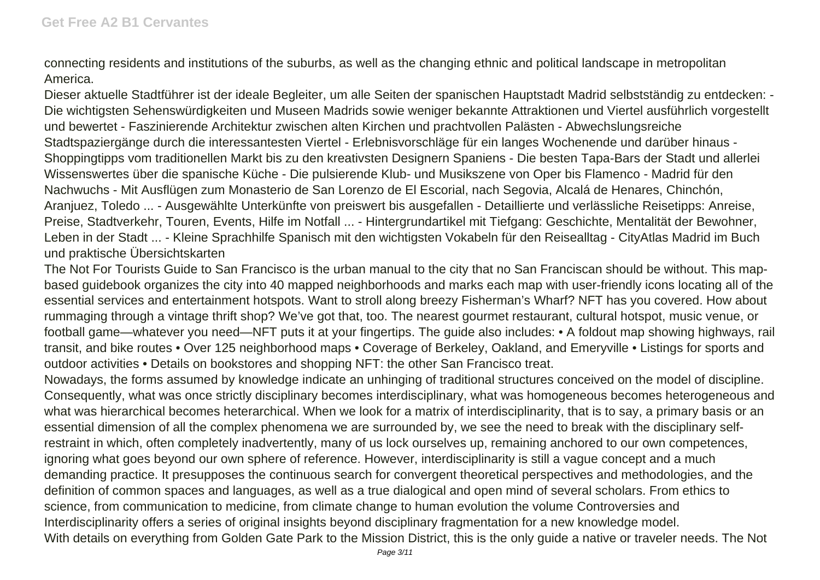connecting residents and institutions of the suburbs, as well as the changing ethnic and political landscape in metropolitan America.

Dieser aktuelle Stadtführer ist der ideale Begleiter, um alle Seiten der spanischen Hauptstadt Madrid selbstständig zu entdecken: - Die wichtigsten Sehenswürdigkeiten und Museen Madrids sowie weniger bekannte Attraktionen und Viertel ausführlich vorgestellt und bewertet - Faszinierende Architektur zwischen alten Kirchen und prachtvollen Palästen - Abwechslungsreiche Stadtspaziergänge durch die interessantesten Viertel - Erlebnisvorschläge für ein langes Wochenende und darüber hinaus - Shoppingtipps vom traditionellen Markt bis zu den kreativsten Designern Spaniens - Die besten Tapa-Bars der Stadt und allerlei Wissenswertes über die spanische Küche - Die pulsierende Klub- und Musikszene von Oper bis Flamenco - Madrid für den Nachwuchs - Mit Ausflügen zum Monasterio de San Lorenzo de El Escorial, nach Segovia, Alcalá de Henares, Chinchón, Aranjuez, Toledo ... - Ausgewählte Unterkünfte von preiswert bis ausgefallen - Detaillierte und verlässliche Reisetipps: Anreise, Preise, Stadtverkehr, Touren, Events, Hilfe im Notfall ... - Hintergrundartikel mit Tiefgang: Geschichte, Mentalität der Bewohner, Leben in der Stadt ... - Kleine Sprachhilfe Spanisch mit den wichtigsten Vokabeln für den Reisealltag - CityAtlas Madrid im Buch und praktische Übersichtskarten

The Not For Tourists Guide to San Francisco is the urban manual to the city that no San Franciscan should be without. This mapbased guidebook organizes the city into 40 mapped neighborhoods and marks each map with user-friendly icons locating all of the essential services and entertainment hotspots. Want to stroll along breezy Fisherman's Wharf? NFT has you covered. How about rummaging through a vintage thrift shop? We've got that, too. The nearest gourmet restaurant, cultural hotspot, music venue, or football game—whatever you need—NFT puts it at your fingertips. The guide also includes: • A foldout map showing highways, rail transit, and bike routes • Over 125 neighborhood maps • Coverage of Berkeley, Oakland, and Emeryville • Listings for sports and outdoor activities • Details on bookstores and shopping NFT: the other San Francisco treat.

Nowadays, the forms assumed by knowledge indicate an unhinging of traditional structures conceived on the model of discipline. Consequently, what was once strictly disciplinary becomes interdisciplinary, what was homogeneous becomes heterogeneous and what was hierarchical becomes heterarchical. When we look for a matrix of interdisciplinarity, that is to say, a primary basis or an essential dimension of all the complex phenomena we are surrounded by, we see the need to break with the disciplinary selfrestraint in which, often completely inadvertently, many of us lock ourselves up, remaining anchored to our own competences, ignoring what goes beyond our own sphere of reference. However, interdisciplinarity is still a vague concept and a much demanding practice. It presupposes the continuous search for convergent theoretical perspectives and methodologies, and the definition of common spaces and languages, as well as a true dialogical and open mind of several scholars. From ethics to science, from communication to medicine, from climate change to human evolution the volume Controversies and Interdisciplinarity offers a series of original insights beyond disciplinary fragmentation for a new knowledge model. With details on everything from Golden Gate Park to the Mission District, this is the only guide a native or traveler needs. The Not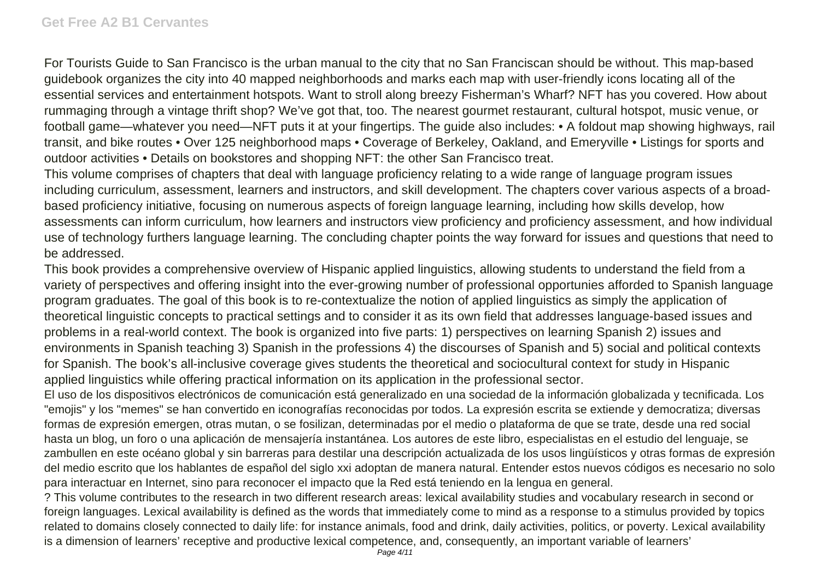For Tourists Guide to San Francisco is the urban manual to the city that no San Franciscan should be without. This map-based guidebook organizes the city into 40 mapped neighborhoods and marks each map with user-friendly icons locating all of the essential services and entertainment hotspots. Want to stroll along breezy Fisherman's Wharf? NFT has you covered. How about rummaging through a vintage thrift shop? We've got that, too. The nearest gourmet restaurant, cultural hotspot, music venue, or football game—whatever you need—NFT puts it at your fingertips. The guide also includes: • A foldout map showing highways, rail transit, and bike routes • Over 125 neighborhood maps • Coverage of Berkeley, Oakland, and Emeryville • Listings for sports and outdoor activities • Details on bookstores and shopping NFT: the other San Francisco treat.

This volume comprises of chapters that deal with language proficiency relating to a wide range of language program issues including curriculum, assessment, learners and instructors, and skill development. The chapters cover various aspects of a broadbased proficiency initiative, focusing on numerous aspects of foreign language learning, including how skills develop, how assessments can inform curriculum, how learners and instructors view proficiency and proficiency assessment, and how individual use of technology furthers language learning. The concluding chapter points the way forward for issues and questions that need to be addressed.

This book provides a comprehensive overview of Hispanic applied linguistics, allowing students to understand the field from a variety of perspectives and offering insight into the ever-growing number of professional opportunies afforded to Spanish language program graduates. The goal of this book is to re-contextualize the notion of applied linguistics as simply the application of theoretical linguistic concepts to practical settings and to consider it as its own field that addresses language-based issues and problems in a real-world context. The book is organized into five parts: 1) perspectives on learning Spanish 2) issues and environments in Spanish teaching 3) Spanish in the professions 4) the discourses of Spanish and 5) social and political contexts for Spanish. The book's all-inclusive coverage gives students the theoretical and sociocultural context for study in Hispanic applied linguistics while offering practical information on its application in the professional sector.

El uso de los dispositivos electrónicos de comunicación está generalizado en una sociedad de la información globalizada y tecnificada. Los "emojis" y los "memes" se han convertido en iconografías reconocidas por todos. La expresión escrita se extiende y democratiza; diversas formas de expresión emergen, otras mutan, o se fosilizan, determinadas por el medio o plataforma de que se trate, desde una red social hasta un blog, un foro o una aplicación de mensajería instantánea. Los autores de este libro, especialistas en el estudio del lenguaje, se zambullen en este océano global y sin barreras para destilar una descripción actualizada de los usos lingüísticos y otras formas de expresión del medio escrito que los hablantes de español del siglo xxi adoptan de manera natural. Entender estos nuevos códigos es necesario no solo para interactuar en Internet, sino para reconocer el impacto que la Red está teniendo en la lengua en general.

? This volume contributes to the research in two different research areas: lexical availability studies and vocabulary research in second or foreign languages. Lexical availability is defined as the words that immediately come to mind as a response to a stimulus provided by topics related to domains closely connected to daily life: for instance animals, food and drink, daily activities, politics, or poverty. Lexical availability is a dimension of learners' receptive and productive lexical competence, and, consequently, an important variable of learners'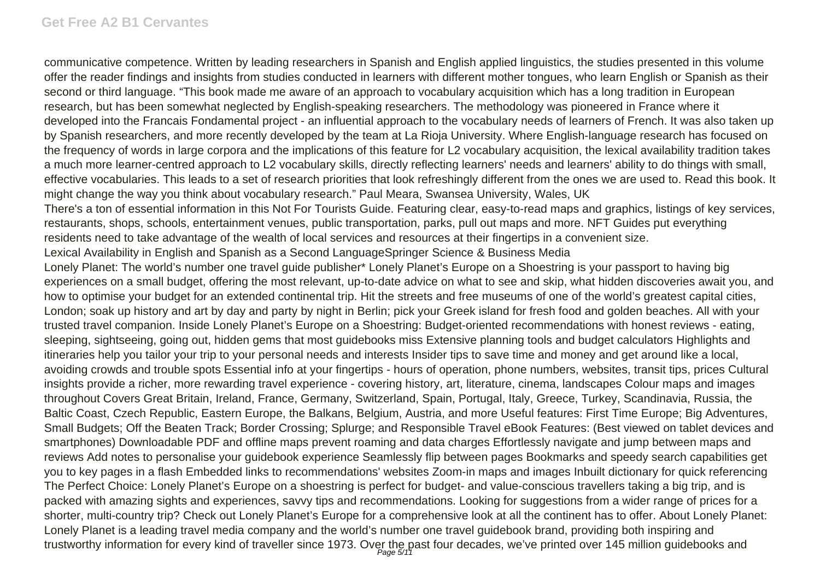communicative competence. Written by leading researchers in Spanish and English applied linguistics, the studies presented in this volume offer the reader findings and insights from studies conducted in learners with different mother tongues, who learn English or Spanish as their second or third language. "This book made me aware of an approach to vocabulary acquisition which has a long tradition in European research, but has been somewhat neglected by English-speaking researchers. The methodology was pioneered in France where it developed into the Francais Fondamental project - an influential approach to the vocabulary needs of learners of French. It was also taken up by Spanish researchers, and more recently developed by the team at La Rioja University. Where English-language research has focused on the frequency of words in large corpora and the implications of this feature for L2 vocabulary acquisition, the lexical availability tradition takes a much more learner-centred approach to L2 vocabulary skills, directly reflecting learners' needs and learners' ability to do things with small, effective vocabularies. This leads to a set of research priorities that look refreshingly different from the ones we are used to. Read this book. It might change the way you think about vocabulary research." Paul Meara, Swansea University, Wales, UK

There's a ton of essential information in this Not For Tourists Guide. Featuring clear, easy-to-read maps and graphics, listings of key services, restaurants, shops, schools, entertainment venues, public transportation, parks, pull out maps and more. NFT Guides put everything residents need to take advantage of the wealth of local services and resources at their fingertips in a convenient size.

Lexical Availability in English and Spanish as a Second LanguageSpringer Science & Business Media

Lonely Planet: The world's number one travel guide publisher\* Lonely Planet's Europe on a Shoestring is your passport to having big experiences on a small budget, offering the most relevant, up-to-date advice on what to see and skip, what hidden discoveries await you, and how to optimise your budget for an extended continental trip. Hit the streets and free museums of one of the world's greatest capital cities, London; soak up history and art by day and party by night in Berlin; pick your Greek island for fresh food and golden beaches. All with your trusted travel companion. Inside Lonely Planet's Europe on a Shoestring: Budget-oriented recommendations with honest reviews - eating, sleeping, sightseeing, going out, hidden gems that most guidebooks miss Extensive planning tools and budget calculators Highlights and itineraries help you tailor your trip to your personal needs and interests Insider tips to save time and money and get around like a local, avoiding crowds and trouble spots Essential info at your fingertips - hours of operation, phone numbers, websites, transit tips, prices Cultural insights provide a richer, more rewarding travel experience - covering history, art, literature, cinema, landscapes Colour maps and images throughout Covers Great Britain, Ireland, France, Germany, Switzerland, Spain, Portugal, Italy, Greece, Turkey, Scandinavia, Russia, the Baltic Coast, Czech Republic, Eastern Europe, the Balkans, Belgium, Austria, and more Useful features: First Time Europe; Big Adventures, Small Budgets; Off the Beaten Track; Border Crossing; Splurge; and Responsible Travel eBook Features: (Best viewed on tablet devices and smartphones) Downloadable PDF and offline maps prevent roaming and data charges Effortlessly navigate and jump between maps and reviews Add notes to personalise your guidebook experience Seamlessly flip between pages Bookmarks and speedy search capabilities get you to key pages in a flash Embedded links to recommendations' websites Zoom-in maps and images Inbuilt dictionary for quick referencing The Perfect Choice: Lonely Planet's Europe on a shoestring is perfect for budget- and value-conscious travellers taking a big trip, and is packed with amazing sights and experiences, savvy tips and recommendations. Looking for suggestions from a wider range of prices for a shorter, multi-country trip? Check out Lonely Planet's Europe for a comprehensive look at all the continent has to offer. About Lonely Planet: Lonely Planet is a leading travel media company and the world's number one travel guidebook brand, providing both inspiring and trustworthy information for every kind of traveller since 1973. Over the past four decades, we've printed over 145 million guidebooks and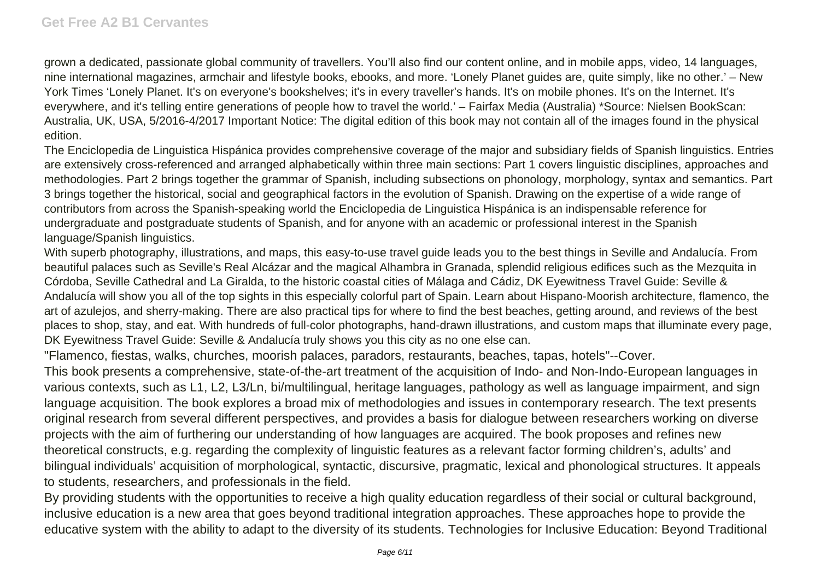grown a dedicated, passionate global community of travellers. You'll also find our content online, and in mobile apps, video, 14 languages, nine international magazines, armchair and lifestyle books, ebooks, and more. 'Lonely Planet guides are, quite simply, like no other.' – New York Times 'Lonely Planet. It's on everyone's bookshelves; it's in every traveller's hands. It's on mobile phones. It's on the Internet. It's everywhere, and it's telling entire generations of people how to travel the world.' – Fairfax Media (Australia) \*Source: Nielsen BookScan: Australia, UK, USA, 5/2016-4/2017 Important Notice: The digital edition of this book may not contain all of the images found in the physical edition.

The Enciclopedia de Linguistica Hispánica provides comprehensive coverage of the major and subsidiary fields of Spanish linguistics. Entries are extensively cross-referenced and arranged alphabetically within three main sections: Part 1 covers linguistic disciplines, approaches and methodologies. Part 2 brings together the grammar of Spanish, including subsections on phonology, morphology, syntax and semantics. Part 3 brings together the historical, social and geographical factors in the evolution of Spanish. Drawing on the expertise of a wide range of contributors from across the Spanish-speaking world the Enciclopedia de Linguistica Hispánica is an indispensable reference for undergraduate and postgraduate students of Spanish, and for anyone with an academic or professional interest in the Spanish language/Spanish linguistics.

With superb photography, illustrations, and maps, this easy-to-use travel guide leads you to the best things in Seville and Andalucía. From beautiful palaces such as Seville's Real Alcázar and the magical Alhambra in Granada, splendid religious edifices such as the Mezquita in Córdoba, Seville Cathedral and La Giralda, to the historic coastal cities of Málaga and Cádiz, DK Eyewitness Travel Guide: Seville & Andalucía will show you all of the top sights in this especially colorful part of Spain. Learn about Hispano-Moorish architecture, flamenco, the art of azulejos, and sherry-making. There are also practical tips for where to find the best beaches, getting around, and reviews of the best places to shop, stay, and eat. With hundreds of full-color photographs, hand-drawn illustrations, and custom maps that illuminate every page, DK Eyewitness Travel Guide: Seville & Andalucía truly shows you this city as no one else can.

"Flamenco, fiestas, walks, churches, moorish palaces, paradors, restaurants, beaches, tapas, hotels"--Cover.

This book presents a comprehensive, state-of-the-art treatment of the acquisition of Indo- and Non-Indo-European languages in various contexts, such as L1, L2, L3/Ln, bi/multilingual, heritage languages, pathology as well as language impairment, and sign language acquisition. The book explores a broad mix of methodologies and issues in contemporary research. The text presents original research from several different perspectives, and provides a basis for dialogue between researchers working on diverse projects with the aim of furthering our understanding of how languages are acquired. The book proposes and refines new theoretical constructs, e.g. regarding the complexity of linguistic features as a relevant factor forming children's, adults' and bilingual individuals' acquisition of morphological, syntactic, discursive, pragmatic, lexical and phonological structures. It appeals to students, researchers, and professionals in the field.

By providing students with the opportunities to receive a high quality education regardless of their social or cultural background, inclusive education is a new area that goes beyond traditional integration approaches. These approaches hope to provide the educative system with the ability to adapt to the diversity of its students. Technologies for Inclusive Education: Beyond Traditional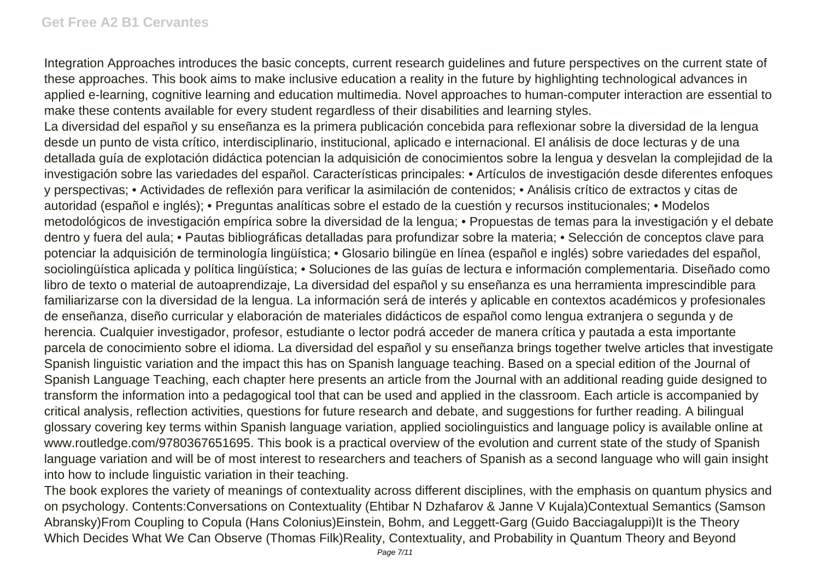Integration Approaches introduces the basic concepts, current research guidelines and future perspectives on the current state of these approaches. This book aims to make inclusive education a reality in the future by highlighting technological advances in applied e-learning, cognitive learning and education multimedia. Novel approaches to human-computer interaction are essential to make these contents available for every student regardless of their disabilities and learning styles.

La diversidad del español y su enseñanza es la primera publicación concebida para reflexionar sobre la diversidad de la lengua desde un punto de vista crítico, interdisciplinario, institucional, aplicado e internacional. El análisis de doce lecturas y de una detallada guía de explotación didáctica potencian la adquisición de conocimientos sobre la lengua y desvelan la complejidad de la investigación sobre las variedades del español. Características principales: • Artículos de investigación desde diferentes enfoques y perspectivas; • Actividades de reflexión para verificar la asimilación de contenidos; • Análisis crítico de extractos y citas de autoridad (español e inglés); • Preguntas analíticas sobre el estado de la cuestión y recursos institucionales; • Modelos metodológicos de investigación empírica sobre la diversidad de la lengua; • Propuestas de temas para la investigación y el debate dentro y fuera del aula; • Pautas bibliográficas detalladas para profundizar sobre la materia; • Selección de conceptos clave para potenciar la adquisición de terminología lingüística; • Glosario bilingüe en línea (español e inglés) sobre variedades del español, sociolingüística aplicada y política lingüística; · Soluciones de las guías de lectura e información complementaria. Diseñado como libro de texto o material de autoaprendizaje, La diversidad del español y su enseñanza es una herramienta imprescindible para familiarizarse con la diversidad de la lengua. La información será de interés y aplicable en contextos académicos y profesionales de enseñanza, diseño curricular y elaboración de materiales didácticos de español como lengua extranjera o segunda y de herencia. Cualquier investigador, profesor, estudiante o lector podrá acceder de manera crítica y pautada a esta importante parcela de conocimiento sobre el idioma. La diversidad del español y su enseñanza brings together twelve articles that investigate Spanish linguistic variation and the impact this has on Spanish language teaching. Based on a special edition of the Journal of Spanish Language Teaching, each chapter here presents an article from the Journal with an additional reading guide designed to transform the information into a pedagogical tool that can be used and applied in the classroom. Each article is accompanied by critical analysis, reflection activities, questions for future research and debate, and suggestions for further reading. A bilingual glossary covering key terms within Spanish language variation, applied sociolinguistics and language policy is available online at www.routledge.com/9780367651695. This book is a practical overview of the evolution and current state of the study of Spanish language variation and will be of most interest to researchers and teachers of Spanish as a second language who will gain insight into how to include linguistic variation in their teaching.

The book explores the variety of meanings of contextuality across different disciplines, with the emphasis on quantum physics and on psychology. Contents:Conversations on Contextuality (Ehtibar N Dzhafarov & Janne V Kujala)Contextual Semantics (Samson Abransky)From Coupling to Copula (Hans Colonius)Einstein, Bohm, and Leggett-Garg (Guido Bacciagaluppi)It is the Theory Which Decides What We Can Observe (Thomas Filk)Reality, Contextuality, and Probability in Quantum Theory and Beyond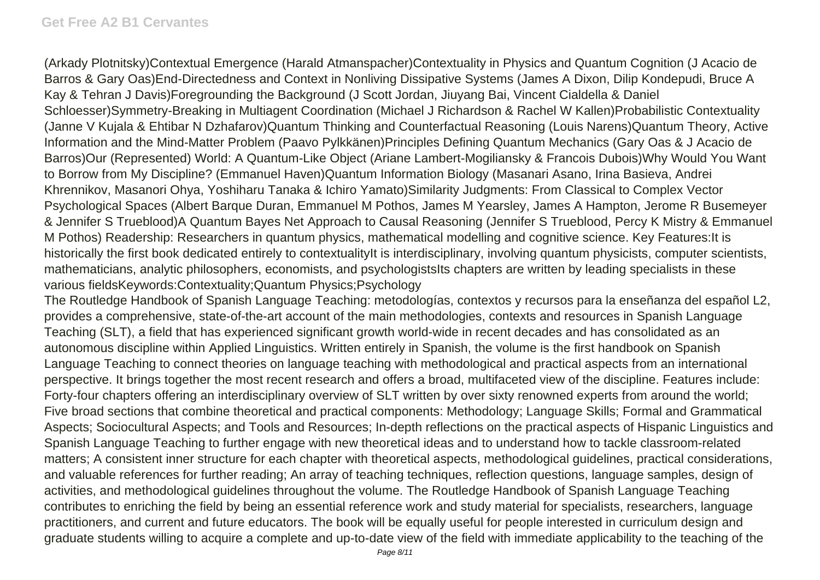(Arkady Plotnitsky)Contextual Emergence (Harald Atmanspacher)Contextuality in Physics and Quantum Cognition (J Acacio de Barros & Gary Oas)End-Directedness and Context in Nonliving Dissipative Systems (James A Dixon, Dilip Kondepudi, Bruce A Kay & Tehran J Davis)Foregrounding the Background (J Scott Jordan, Jiuyang Bai, Vincent Cialdella & Daniel Schloesser)Symmetry-Breaking in Multiagent Coordination (Michael J Richardson & Rachel W Kallen)Probabilistic Contextuality (Janne V Kujala & Ehtibar N Dzhafarov)Quantum Thinking and Counterfactual Reasoning (Louis Narens)Quantum Theory, Active Information and the Mind-Matter Problem (Paavo Pylkkänen)Principles Defining Quantum Mechanics (Gary Oas & J Acacio de Barros)Our (Represented) World: A Quantum-Like Object (Ariane Lambert-Mogiliansky & Francois Dubois)Why Would You Want to Borrow from My Discipline? (Emmanuel Haven)Quantum Information Biology (Masanari Asano, Irina Basieva, Andrei Khrennikov, Masanori Ohya, Yoshiharu Tanaka & Ichiro Yamato)Similarity Judgments: From Classical to Complex Vector Psychological Spaces (Albert Barque Duran, Emmanuel M Pothos, James M Yearsley, James A Hampton, Jerome R Busemeyer & Jennifer S Trueblood)A Quantum Bayes Net Approach to Causal Reasoning (Jennifer S Trueblood, Percy K Mistry & Emmanuel M Pothos) Readership: Researchers in quantum physics, mathematical modelling and cognitive science. Key Features:It is historically the first book dedicated entirely to contextualityIt is interdisciplinary, involving quantum physicists, computer scientists, mathematicians, analytic philosophers, economists, and psychologistsIts chapters are written by leading specialists in these various fieldsKeywords:Contextuality;Quantum Physics;Psychology

The Routledge Handbook of Spanish Language Teaching: metodologías, contextos y recursos para la enseñanza del español L2, provides a comprehensive, state-of-the-art account of the main methodologies, contexts and resources in Spanish Language Teaching (SLT), a field that has experienced significant growth world-wide in recent decades and has consolidated as an autonomous discipline within Applied Linguistics. Written entirely in Spanish, the volume is the first handbook on Spanish Language Teaching to connect theories on language teaching with methodological and practical aspects from an international perspective. It brings together the most recent research and offers a broad, multifaceted view of the discipline. Features include: Forty-four chapters offering an interdisciplinary overview of SLT written by over sixty renowned experts from around the world; Five broad sections that combine theoretical and practical components: Methodology; Language Skills; Formal and Grammatical Aspects; Sociocultural Aspects; and Tools and Resources; In-depth reflections on the practical aspects of Hispanic Linguistics and Spanish Language Teaching to further engage with new theoretical ideas and to understand how to tackle classroom-related matters; A consistent inner structure for each chapter with theoretical aspects, methodological guidelines, practical considerations, and valuable references for further reading; An array of teaching techniques, reflection questions, language samples, design of activities, and methodological guidelines throughout the volume. The Routledge Handbook of Spanish Language Teaching contributes to enriching the field by being an essential reference work and study material for specialists, researchers, language practitioners, and current and future educators. The book will be equally useful for people interested in curriculum design and graduate students willing to acquire a complete and up-to-date view of the field with immediate applicability to the teaching of the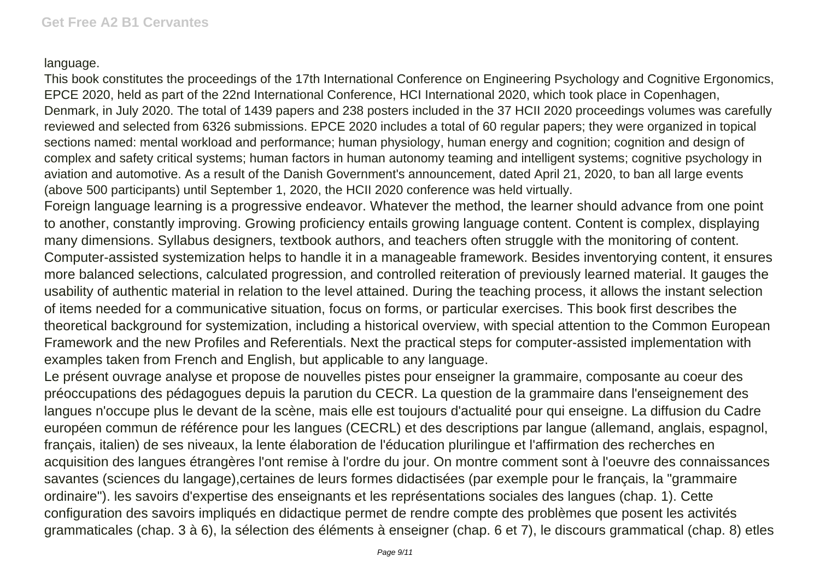## language.

This book constitutes the proceedings of the 17th International Conference on Engineering Psychology and Cognitive Ergonomics, EPCE 2020, held as part of the 22nd International Conference, HCI International 2020, which took place in Copenhagen, Denmark, in July 2020. The total of 1439 papers and 238 posters included in the 37 HCII 2020 proceedings volumes was carefully reviewed and selected from 6326 submissions. EPCE 2020 includes a total of 60 regular papers; they were organized in topical sections named: mental workload and performance; human physiology, human energy and cognition; cognition and design of complex and safety critical systems; human factors in human autonomy teaming and intelligent systems; cognitive psychology in aviation and automotive. As a result of the Danish Government's announcement, dated April 21, 2020, to ban all large events (above 500 participants) until September 1, 2020, the HCII 2020 conference was held virtually.

Foreign language learning is a progressive endeavor. Whatever the method, the learner should advance from one point to another, constantly improving. Growing proficiency entails growing language content. Content is complex, displaying many dimensions. Syllabus designers, textbook authors, and teachers often struggle with the monitoring of content. Computer-assisted systemization helps to handle it in a manageable framework. Besides inventorying content, it ensures more balanced selections, calculated progression, and controlled reiteration of previously learned material. It gauges the usability of authentic material in relation to the level attained. During the teaching process, it allows the instant selection of items needed for a communicative situation, focus on forms, or particular exercises. This book first describes the theoretical background for systemization, including a historical overview, with special attention to the Common European Framework and the new Profiles and Referentials. Next the practical steps for computer-assisted implementation with examples taken from French and English, but applicable to any language.

Le présent ouvrage analyse et propose de nouvelles pistes pour enseigner la grammaire, composante au coeur des préoccupations des pédagogues depuis la parution du CECR. La question de la grammaire dans l'enseignement des langues n'occupe plus le devant de la scène, mais elle est toujours d'actualité pour qui enseigne. La diffusion du Cadre européen commun de référence pour les langues (CECRL) et des descriptions par langue (allemand, anglais, espagnol, français, italien) de ses niveaux, la lente élaboration de l'éducation plurilingue et l'affirmation des recherches en acquisition des langues étrangères l'ont remise à l'ordre du jour. On montre comment sont à l'oeuvre des connaissances savantes (sciences du langage),certaines de leurs formes didactisées (par exemple pour le français, la "grammaire ordinaire"). les savoirs d'expertise des enseignants et les représentations sociales des langues (chap. 1). Cette configuration des savoirs impliqués en didactique permet de rendre compte des problèmes que posent les activités grammaticales (chap. 3 à 6), la sélection des éléments à enseigner (chap. 6 et 7), le discours grammatical (chap. 8) etles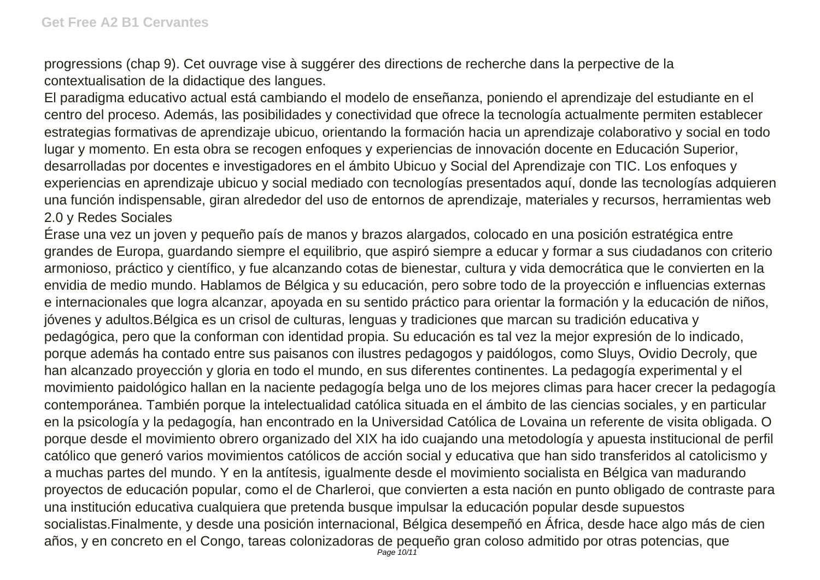progressions (chap 9). Cet ouvrage vise à suggérer des directions de recherche dans la perpective de la contextualisation de la didactique des langues.

El paradigma educativo actual está cambiando el modelo de enseñanza, poniendo el aprendizaje del estudiante en el centro del proceso. Además, las posibilidades y conectividad que ofrece la tecnología actualmente permiten establecer estrategias formativas de aprendizaje ubicuo, orientando la formación hacia un aprendizaje colaborativo y social en todo lugar y momento. En esta obra se recogen enfoques y experiencias de innovación docente en Educación Superior, desarrolladas por docentes e investigadores en el ámbito Ubicuo y Social del Aprendizaje con TIC. Los enfoques y experiencias en aprendizaje ubicuo y social mediado con tecnologías presentados aquí, donde las tecnologías adquieren una función indispensable, giran alrededor del uso de entornos de aprendizaje, materiales y recursos, herramientas web 2.0 y Redes Sociales

Érase una vez un joven y pequeño país de manos y brazos alargados, colocado en una posición estratégica entre grandes de Europa, guardando siempre el equilibrio, que aspiró siempre a educar y formar a sus ciudadanos con criterio armonioso, práctico y científico, y fue alcanzando cotas de bienestar, cultura y vida democrática que le convierten en la envidia de medio mundo. Hablamos de Bélgica y su educación, pero sobre todo de la proyección e influencias externas e internacionales que logra alcanzar, apoyada en su sentido práctico para orientar la formación y la educación de niños, jóvenes y adultos.Bélgica es un crisol de culturas, lenguas y tradiciones que marcan su tradición educativa y pedagógica, pero que la conforman con identidad propia. Su educación es tal vez la mejor expresión de lo indicado, porque además ha contado entre sus paisanos con ilustres pedagogos y paidólogos, como Sluys, Ovidio Decroly, que han alcanzado proyección y gloria en todo el mundo, en sus diferentes continentes. La pedagogía experimental y el movimiento paidológico hallan en la naciente pedagogía belga uno de los mejores climas para hacer crecer la pedagogía contemporánea. También porque la intelectualidad católica situada en el ámbito de las ciencias sociales, y en particular en la psicología y la pedagogía, han encontrado en la Universidad Católica de Lovaina un referente de visita obligada. O porque desde el movimiento obrero organizado del XIX ha ido cuajando una metodología y apuesta institucional de perfil católico que generó varios movimientos católicos de acción social y educativa que han sido transferidos al catolicismo y a muchas partes del mundo. Y en la antítesis, igualmente desde el movimiento socialista en Bélgica van madurando proyectos de educación popular, como el de Charleroi, que convierten a esta nación en punto obligado de contraste para una institución educativa cualquiera que pretenda busque impulsar la educación popular desde supuestos socialistas.Finalmente, y desde una posición internacional, Bélgica desempeñó en África, desde hace algo más de cien años, y en concreto en el Congo, tareas colonizadoras de pequeño gran coloso admitido por otras potencias, que